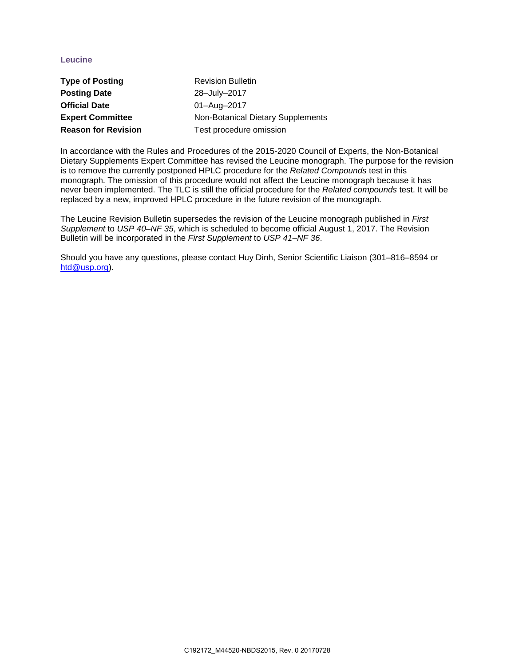## **Leucine**

| <b>Type of Posting</b>     | <b>Revision Bulletin</b>          |
|----------------------------|-----------------------------------|
| <b>Posting Date</b>        | 28-July-2017                      |
| <b>Official Date</b>       | 01-Aug-2017                       |
| <b>Expert Committee</b>    | Non-Botanical Dietary Supplements |
| <b>Reason for Revision</b> | Test procedure omission           |

In accordance with the Rules and Procedures of the 2015-2020 Council of Experts, the Non-Botanical Dietary Supplements Expert Committee has revised the Leucine monograph. The purpose for the revision is to remove the currently postponed HPLC procedure for the *Related Compounds* test in this monograph. The omission of this procedure would not affect the Leucine monograph because it has never been implemented. The TLC is still the official procedure for the *Related compounds* test. It will be replaced by a new, improved HPLC procedure in the future revision of the monograph.

The Leucine Revision Bulletin supersedes the revision of the Leucine monograph published in *First Supplement* to *USP 40–NF 35*, which is scheduled to become official August 1, 2017. The Revision Bulletin will be incorporated in the *First Supplement* to *USP 41–NF 36*.

Should you have any questions, please contact Huy Dinh, Senior Scientific Liaison (301–816–8594 or [htd@usp.org\)](mailto:htd@usp.org).